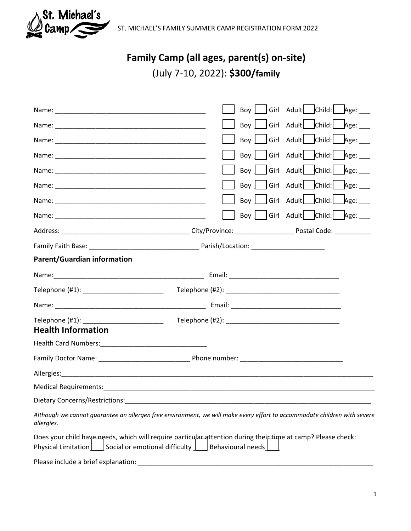

ST. MICHAEL'S FAMILY SUMMER CAMP REGISTRATION FORM 2022

# **Family Camp (all ages, parent(s) on-site)**

(July 7-10, 2022): **\$300/family**

|                                                         | Girl Adult   Child:   Age:<br>Boy                                                                                                 |             |
|---------------------------------------------------------|-----------------------------------------------------------------------------------------------------------------------------------|-------------|
|                                                         | Girl Adult Child: Age:<br>Boy                                                                                                     |             |
|                                                         | Girl Adult Child: Age:<br>Boy                                                                                                     |             |
|                                                         | Girl Adult Child:<br>Boy                                                                                                          | Age: $\_\_$ |
|                                                         | Girl Adult Child:<br>Boy                                                                                                          | Age:        |
|                                                         | Girl Adult Child:<br>Boy                                                                                                          | Age: $\_\_$ |
|                                                         | Girl Adult Child: Age:<br>Boy                                                                                                     |             |
|                                                         | Girl Adult Child: Age:<br>Boy                                                                                                     |             |
|                                                         |                                                                                                                                   |             |
|                                                         |                                                                                                                                   |             |
| <b>Parent/Guardian information</b>                      |                                                                                                                                   |             |
|                                                         |                                                                                                                                   |             |
| Telephone (#1): ___________________________             |                                                                                                                                   |             |
|                                                         |                                                                                                                                   |             |
| Telephone (#1): ____________________________            |                                                                                                                                   |             |
| <b>Health Information</b>                               |                                                                                                                                   |             |
|                                                         |                                                                                                                                   |             |
|                                                         |                                                                                                                                   |             |
|                                                         |                                                                                                                                   |             |
|                                                         |                                                                                                                                   |             |
| Dietary Concerns/Restrictions:                          |                                                                                                                                   |             |
| allergies.                                              | Although we cannot guarantee an allergen free environment, we will make every effort to accommodate children with severe          |             |
| Social or emotional difficulty  <br>Physical Limitation | Does your child have needs, which will require particular attention during their time at camp? Please check:<br>Behavioural needs |             |
| Please include a brief explanation:                     |                                                                                                                                   |             |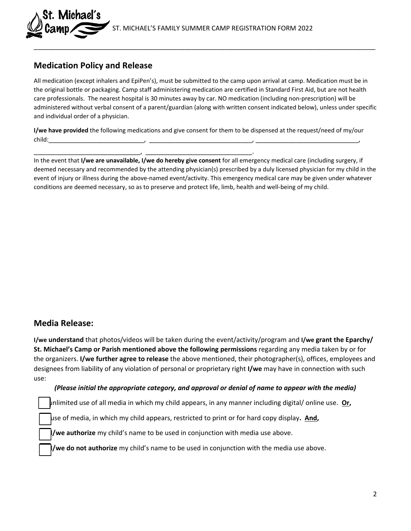## **Medication Policy and Release**

. Michael´s

All medication (except inhalers and EpiPen's), must be submitted to the camp upon arrival at camp. Medication must be in the original bottle or packaging. Camp staff administering medication are certified in Standard First Aid, but are not health care professionals. The nearest hospital is 30 minutes away by car. NO medication (including non-prescription) will be administered without verbal consent of a parent/guardian (along with written consent indicated below), unless under specific and individual order of a physician.

\_\_\_\_\_\_\_\_\_\_\_\_\_\_\_\_\_\_\_\_\_\_\_\_\_\_\_\_\_\_\_\_\_\_\_\_\_\_\_\_\_\_\_\_\_\_\_\_\_\_\_\_\_\_\_\_\_\_\_\_\_\_\_\_\_\_\_\_\_\_\_\_\_\_\_\_\_\_\_\_\_\_\_\_\_\_\_\_\_\_\_\_\_

**I/we have provided** the following medications and give consent for them to be dispensed at the request/need of my/our child:\_\_\_\_\_\_\_\_\_\_\_\_\_\_\_\_\_\_\_\_\_\_\_\_\_\_, \_\_\_\_\_\_\_\_\_\_\_\_\_\_\_\_\_\_\_\_\_\_\_\_\_\_\_\_, \_\_\_\_\_\_\_\_\_\_\_\_\_\_\_\_\_\_\_\_\_\_\_\_\_\_\_\_,

\_\_\_\_\_\_\_\_\_\_\_\_\_\_\_\_\_\_\_\_\_\_\_\_\_\_\_\_\_, \_\_\_\_\_\_\_\_\_\_\_\_\_\_\_\_\_\_\_\_\_\_\_\_\_\_\_\_\_.

In the event that **I/we are unavailable, I/we do hereby give consent** for all emergency medical care (including surgery, if deemed necessary and recommended by the attending physician(s) prescribed by a duly licensed physician for my child in the event of injury or illness during the above-named event/activity. This emergency medical care may be given under whatever conditions are deemed necessary, so as to preserve and protect life, limb, health and well-being of my child.

## **Media Release:**

**I/we understand** that photos/videos will be taken during the event/activity/program and **I/we grant the Eparchy/ St. Michael's Camp or Parish mentioned above the following permissions** regarding any media taken by or for the organizers. **I/we further agree to release** the above mentioned, their photographer(s), offices, employees and designees from liability of any violation of personal or proprietary right **I/we** may have in connection with such use:

#### *(Please initial the appropriate category, and approval or denial of name to appear with the media)*

unlimited use of all media in which my child appears, in any manner including digital/ online use. **Or,**

use of media, in which my child appears, restricted to print or for hard copy display**. And,**

**I/we authorize** my child's name to be used in conjunction with media use above.

**I/we do not authorize** my child's name to be used in conjunction with the media use above.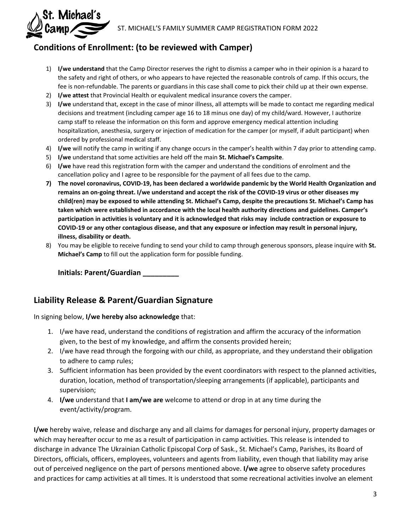

# **Conditions of Enrollment: (to be reviewed with Camper)**

- 1) **I/we understand** that the Camp Director reserves the right to dismiss a camper who in their opinion is a hazard to the safety and right of others, or who appears to have rejected the reasonable controls of camp. If this occurs, the fee is non-refundable. The parents or guardians in this case shall come to pick their child up at their own expense.
- 2) **I/we attest** that Provincial Health or equivalent medical insurance covers the camper.
- 3) **I/we** understand that, except in the case of minor illness, all attempts will be made to contact me regarding medical decisions and treatment (including camper age 16 to 18 minus one day) of my child/ward. However, I authorize camp staff to release the information on this form and approve emergency medical attention including hospitalization, anesthesia, surgery or injection of medication for the camper (or myself, if adult participant) when ordered by professional medical staff.
- 4) **I/we** will notify the camp in writing if any change occurs in the camper's health within 7 day prior to attending camp.
- 5) **I/we** understand that some activities are held off the main **St. Michael's Campsite**.
- 6) **I/we** have read this registration form with the camper and understand the conditions of enrolment and the cancellation policy and I agree to be responsible for the payment of all fees due to the camp.
- **7) The novel coronavirus, COVID-19, has been declared a worldwide pandemic by the World Health Organization and remains an on-going threat. I/we understand and accept the risk of the COVID-19 virus or other diseases my child(ren) may be exposed to while attending St. Michael's Camp, despite the precautions St. Michael's Camp has taken which were established in accordance with the local health authority directions and guidelines. Camper's participation in activities is voluntary and it is acknowledged that risks may include contraction or exposure to COVID-19 or any other contagious disease, and that any exposure or infection may result in personal injury, illness, disability or death.**
- 8) You may be eligible to receive funding to send your child to camp through generous sponsors, please inquire with **St. Michael's Camp** to fill out the application form for possible funding.

**Initials: Parent/Guardian \_\_\_\_\_\_\_\_\_** 

# **Liability Release & Parent/Guardian Signature**

In signing below, **I/we hereby also acknowledge** that:

- 1. I/we have read, understand the conditions of registration and affirm the accuracy of the information given, to the best of my knowledge, and affirm the consents provided herein;
- 2. I/we have read through the forgoing with our child, as appropriate, and they understand their obligation to adhere to camp rules;
- 3. Sufficient information has been provided by the event coordinators with respect to the planned activities, duration, location, method of transportation/sleeping arrangements (if applicable), participants and supervision;
- 4. **I/we** understand that **I am/we are** welcome to attend or drop in at any time during the event/activity/program.

**I/we** hereby waive, release and discharge any and all claims for damages for personal injury, property damages or which may hereafter occur to me as a result of participation in camp activities. This release is intended to discharge in advance The Ukrainian Catholic Episcopal Corp of Sask., St. Michael's Camp, Parishes, its Board of Directors, officials, officers, employees, volunteers and agents from liability, even though that liability may arise out of perceived negligence on the part of persons mentioned above. **I/we** agree to observe safety procedures and practices for camp activities at all times. It is understood that some recreational activities involve an element